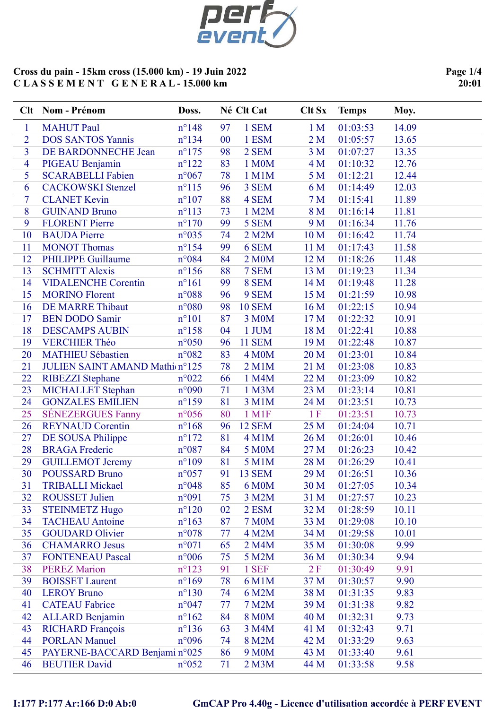

Page 1/4 20:01

|                | Clt Nom - Prénom                                   | Doss.                            |          | Né Clt Cat            | <b>Clt Sx</b>   | <b>Temps</b>         | Moy.           |
|----------------|----------------------------------------------------|----------------------------------|----------|-----------------------|-----------------|----------------------|----------------|
| $\mathbf{1}$   | <b>MAHUT</b> Paul                                  | $n^{\circ}148$                   | 97       | 1 SEM                 | 1 <sub>M</sub>  | 01:03:53             | 14.09          |
| $\overline{2}$ | <b>DOS SANTOS Yannis</b>                           | $n^{\circ}134$                   | 00       | 1 ESM                 | 2 <sub>M</sub>  | 01:05:57             | 13.65          |
| 3              | DE BARDONNECHE Jean                                | $n^{\circ}175$                   | 98       | 2 SEM                 | 3 <sub>M</sub>  | 01:07:27             | 13.35          |
| $\overline{4}$ | PIGEAU Benjamin                                    | $n^{\circ}122$                   | 83       | 1 M0M                 | 4 <sub>M</sub>  | 01:10:32             | 12.76          |
| 5              | <b>SCARABELLI Fabien</b>                           | $n^{\circ}067$                   | 78       | 1 M1M                 | 5 M             | 01:12:21             | 12.44          |
| 6              | <b>CACKOWSKI</b> Stenzel                           | $n^{\circ}115$                   | 96       | 3 SEM                 | 6 M             | 01:14:49             | 12.03          |
| $\tau$         | <b>CLANET Kevin</b>                                | $n^{\circ}107$                   | 88       | 4 SEM                 | 7 <sub>M</sub>  | 01:15:41             | 11.89          |
| 8              | <b>GUINAND Bruno</b>                               | $n^{\circ}113$                   | 73       | 1 M2M                 | 8 M             | 01:16:14             | 11.81          |
| 9              | <b>FLORENT Pierre</b>                              | $n^{\circ}170$                   | 99       | 5 SEM                 | 9 M             | 01:16:34             | 11.76          |
| 10             | <b>BAUDA</b> Pierre                                | n°035                            | 74       | 2 M2M                 | 10 <sub>M</sub> | 01:16:42             | 11.74          |
| 11             | <b>MONOT Thomas</b>                                | $n^{\circ}154$                   | 99       | 6 SEM                 | 11 <sub>M</sub> | 01:17:43             | 11.58          |
| 12             | <b>PHILIPPE Guillaume</b><br><b>SCHMITT Alexis</b> | n°084                            | 84       | 2 M0M                 | 12 M            | 01:18:26             | 11.48          |
| 13<br>14       | <b>VIDALENCHE Corentin</b>                         | $n^{\circ}156$<br>$n^{\circ}161$ | 88<br>99 | 7 SEM<br>8 SEM        | 13 M<br>14 M    | 01:19:23<br>01:19:48 | 11.34<br>11.28 |
| 15             | <b>MORINO Florent</b>                              | $n^{\circ}088$                   | 96       | 9 SEM                 | 15 M            | 01:21:59             | 10.98          |
| 16             | <b>DE MARRE Thibaut</b>                            | $n^{\circ}080$                   | 98       | <b>10 SEM</b>         | 16 <sub>M</sub> | 01:22:15             | 10.94          |
| 17             | <b>BEN DODO Samir</b>                              | $n^{\circ}101$                   | 87       | 3 M0M                 | 17 M            | 01:22:32             | 10.91          |
| 18             | <b>DESCAMPS AUBIN</b>                              | $n^{\circ}158$                   | 04       | 1 JUM                 | 18 M            | 01:22:41             | 10.88          |
| 19             | <b>VERCHIER Théo</b>                               | $n^{\circ}050$                   | 96       | <b>11 SEM</b>         | 19 M            | 01:22:48             | 10.87          |
| 20             | <b>MATHIEU Sébastien</b>                           | $n^{\circ}082$                   | 83       | 4 M <sub>0</sub> M    | 20 M            | 01:23:01             | 10.84          |
| 21             | JULIEN SAINT AMAND Mathion°125                     |                                  | 78       | $2$ M $1$ M           | 21 M            | 01:23:08             | 10.83          |
| 22             | <b>RIBEZZI</b> Stephane                            | $n^{\circ}022$                   | 66       | 1 M4M                 | 22 M            | 01:23:09             | 10.82          |
| 23             | MICHALLET Stephan                                  | n°090                            | 71       | 1 M3M                 | 23 M            | 01:23:14             | 10.81          |
| 24             | <b>GONZALES EMILIEN</b>                            | $n^{\circ}159$                   | 81       | 3 M1M                 | 24 M            | 01:23:51             | 10.73          |
| 25             | <b>SÉNEZERGUES Fanny</b>                           | $n^{\circ}056$                   | 80       | $1$ M $1$ F           | 1 F             | 01:23:51             | 10.73          |
| 26             | <b>REYNAUD</b> Corentin                            | $n^{\circ}168$                   | 96       | <b>12 SEM</b>         | 25 M            | 01:24:04             | 10.71          |
| 27             | DE SOUSA Philippe                                  | $n^{\circ}172$                   | 81       | 4 M1M                 | 26 M            | 01:26:01             | 10.46          |
| 28             | <b>BRAGA</b> Frederic                              | $n^{\circ}087$                   | 84       | 5 M0M                 | 27 M            | 01:26:23             | 10.42          |
| 29             | <b>GUILLEMOT Jeremy</b>                            | $n^{\circ}109$                   | 81       | 5 M1M                 | 28 M            | 01:26:29             | 10.41          |
| 30             | <b>POUSSARD Bruno</b>                              | $n^{\circ}057$                   | 91       | <b>13 SEM</b>         | 29 M            | 01:26:51             | 10.36          |
| 31             | <b>TRIBALLI Mickael</b>                            | n°048                            | 85       | <b>6 M0M</b>          | 30 M            | 01:27:05             | 10.34          |
| 32             | <b>ROUSSET Julien</b>                              | n°091                            | 75       | 3 M2M                 | 31 M            | 01:27:57             | 10.23          |
| 33             | <b>STEINMETZ Hugo</b>                              | $n^{\circ}120$                   | 02       | 2 ESM                 | 32 M            | 01:28:59             | 10.11          |
| 34<br>35       | <b>TACHEAU</b> Antoine<br><b>GOUDARD Olivier</b>   | $n^{\circ}163$<br>n°078          | 87       | <b>7 M0M</b><br>4 M2M | 33 M<br>34 M    | 01:29:08<br>01:29:58 | 10.10<br>10.01 |
| 36             | <b>CHAMARRO Jesus</b>                              | $n^{\circ}071$                   | 77<br>65 | 2 M4M                 | 35 M            | 01:30:08             | 9.99           |
| 37             | <b>FONTENEAU Pascal</b>                            | $n^{\circ}006$                   | 75       | 5 M2M                 | 36 M            | 01:30:34             | 9.94           |
| 38             | <b>PEREZ Marion</b>                                | $n^{\circ}123$                   | 91       | 1 SEF                 | 2 F             | 01:30:49             | 9.91           |
| 39             | <b>BOISSET Laurent</b>                             | $n^{\circ}169$                   | 78       | 6 M1M                 | 37 M            | 01:30:57             | 9.90           |
| 40             | <b>LEROY Bruno</b>                                 | $n^{\circ}130$                   | 74       | 6 M2M                 | 38 M            | 01:31:35             | 9.83           |
| 41             | <b>CATEAU Fabrice</b>                              | n°047                            | 77       | 7 M2M                 | 39 M            | 01:31:38             | 9.82           |
| 42             | <b>ALLARD Benjamin</b>                             | $n^{\circ}162$                   | 84       | <b>8 M0M</b>          | 40 M            | 01:32:31             | 9.73           |
| 43             | <b>RICHARD</b> François                            | $n^{\circ}$ 136                  | 63       | 3 M4M                 | 41 M            | 01:32:43             | 9.71           |
| 44             | <b>PORLAN Manuel</b>                               | n°096                            | 74       | 8 M2M                 | 42 M            | 01:33:29             | 9.63           |
| 45             | PAYERNE-BACCARD Benjami n°025                      |                                  | 86       | 9 M <sub>0</sub> M    | 43 M            | 01:33:40             | 9.61           |
| 46             | <b>BEUTIER David</b>                               | $n^{\circ}052$                   | 71       | 2 M3M                 | 44 M            | 01:33:58             | 9.58           |

# I:177 P:177 Ar:166 D:0 Ab:0 GmCAP Pro 4.40g - Licence d'utilisation accordée à PERF EVENT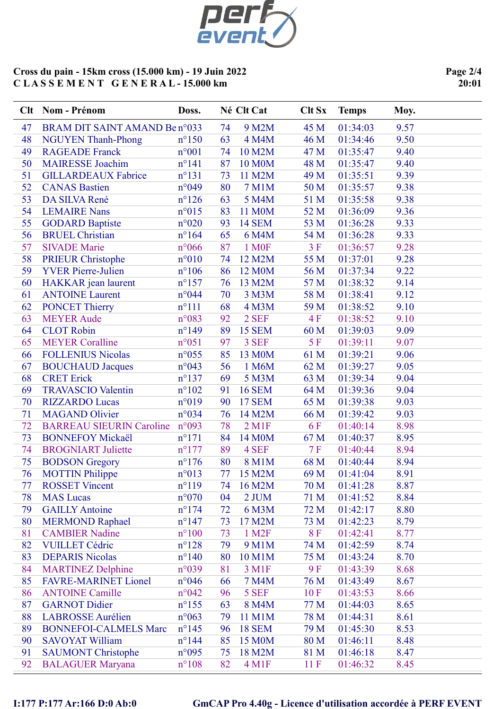

Page 2/4 20:01

|          | Clt Nom - Prénom                          | Doss.                            |          | Né Clt Cat         | <b>Clt Sx</b> | <b>Temps</b>         | Moy.         |
|----------|-------------------------------------------|----------------------------------|----------|--------------------|---------------|----------------------|--------------|
| 47       | BRAM DIT SAINT AMAND Ben°033              |                                  | 74       | 9 M2M              | 45 M          | 01:34:03             | 9.57         |
| 48       | <b>NGUYEN Thanh-Phong</b>                 | $n^{\circ}150$                   | 63       | 4 M4M              | 46 M          | 01:34:46             | 9.50         |
| 49       | <b>RAGEADE Franck</b>                     | $n^{\circ}001$                   | 74       | 10 M2M             | 47 M          | 01:35:47             | 9.40         |
| 50       | <b>MAIRESSE Joachim</b>                   | $n^{\circ}141$                   | 87       | <b>10 M0M</b>      | 48 M          | 01:35:47             | 9.40         |
| 51       | <b>GILLARDEAUX Fabrice</b>                | $n^{\circ}131$                   | 73       | 11 M2M             | 49 M          | 01:35:51             | 9.39         |
| 52       | <b>CANAS Bastien</b>                      | n°049                            | 80       | <b>7 M1M</b>       | 50 M          | 01:35:57             | 9.38         |
| 53       | DA SILVA René                             | $n^{\circ}126$                   | 63       | 5 M4M              | 51 M          | 01:35:58             | 9.38         |
| 54       | <b>LEMAIRE Nans</b>                       | $n^{\circ}015$                   | 83       | 11 M0M             | 52 M          | 01:36:09             | 9.36         |
| 55       | <b>GODARD Baptiste</b>                    | $n^{\circ}020$                   | 93       | <b>14 SEM</b>      | 53 M          | 01:36:28             | 9.33         |
| 56       | <b>BRUEL Christian</b>                    | $n^{\circ}164$                   | 65       | 6 M4M              | 54 M          | 01:36:28             | 9.33         |
| 57       | <b>SIVADE</b> Marie                       | $n^{\circ}066$                   | 87       | 1 M <sub>OF</sub>  | 3F            | 01:36:57             | 9.28         |
| 58       | <b>PRIEUR Christophe</b>                  | $n^{\circ}010$                   | 74       | 12 M2M             | 55 M          | 01:37:01             | 9.28         |
| 59       | <b>YVER Pierre-Julien</b>                 | $n^{\circ}106$                   | 86       | 12 M0M             | 56 M          | 01:37:34             | 9.22         |
| 60       | HAKKAR jean laurent                       | $n^{\circ}157$                   | 76       | 13 M2M             | 57 M          | 01:38:32             | 9.14         |
| 61       | <b>ANTOINE Laurent</b>                    | n°044                            | 70       | 3 M3M              | 58 M          | 01:38:41             | 9.12         |
| 62       | <b>PONCET Thierry</b>                     | $n^{\circ}111$                   | 68       | 4 M3M              | 59 M          | 01:38:52             | 9.10         |
| 63       | <b>MEYER Aude</b>                         | n°083                            | 92       | 2 SEF              | 4F            | 01:38:52             | 9.10         |
| 64       | <b>CLOT</b> Robin                         | $n^{\circ}$ 149                  | 89       | <b>15 SEM</b>      | 60 M          | 01:39:03             | 9.09         |
| 65       | <b>MEYER Coralline</b>                    | $n^{\circ}051$                   | 97       | 3 SEF              | 5F            | 01:39:11             | 9.07         |
| 66       | <b>FOLLENIUS Nicolas</b>                  | $n^{\circ}055$                   | 85       | 13 M0M             | 61 M          | 01:39:21             | 9.06         |
| 67       | <b>BOUCHAUD Jacques</b>                   | $n^{\circ}043$                   | 56       | 1 M6M              | 62 M          | 01:39:27             | 9.05         |
| 68       | <b>CRET</b> Erick                         | $n^{\circ}137$                   | 69       | 5 M3M              | 63 M          | 01:39:34             | 9.04         |
| 69       | <b>TRAVASCIO Valentin</b>                 | $n^{\circ}102$                   | 91       | <b>16 SEM</b>      | 64 M          | 01:39:36             | 9.04         |
| 70       | <b>RIZZARDO Lucas</b>                     | n°019                            | 90       | <b>17 SEM</b>      | 65 M          | 01:39:38             | 9.03         |
| 71       | <b>MAGAND Olivier</b>                     | n°034                            | 76       | 14 M2M             | 66 M          | 01:39:42             | 9.03         |
| 72       | <b>BARREAU SIEURIN Caroline</b>           | $n^{\circ}093$                   | 78       | $2$ M1F            | 6F            | 01:40:14             | 8.98         |
| 73       | <b>BONNEFOY Mickaël</b>                   | $n^{\circ}171$                   | 84       | 14 M0M             | 67 M          | 01:40:37             | 8.95         |
| 74       | <b>BROGNIART</b> Juliette                 | $n^{\circ}177$                   | 89       | 4 SEF              | 7F            | 01:40:44             | 8.94         |
| 75       | <b>BODSON</b> Gregory                     | $n^{\circ}176$                   | 80       | 8 M1M              | 68 M          | 01:40:44             | 8.94         |
| 76       | <b>MOTTIN</b> Philippe                    | $n^{\circ}013$                   | 77       | 15 M2M             | 69 M          | 01:41:04             | 8.91         |
| 77       | <b>ROSSET Vincent</b>                     | $n^{\circ}119$                   | 74       | 16 M2M             | 70 M          | 01:41:28             | 8.87         |
| 78<br>79 | <b>MAS</b> Lucas<br><b>GAILLY Antoine</b> | $n^{\circ}070$<br>$n^{\circ}174$ | 04<br>72 | 2 JUM              | 71 M<br>72 M  | 01:41:52<br>01:42:17 | 8.84<br>8.80 |
| 80       | <b>MERMOND Raphael</b>                    | $n^{\circ}$ 147                  | 73       | 6 M3M<br>17 M2M    | 73 M          | 01:42:23             | 8.79         |
| 81       | <b>CAMBIER Nadine</b>                     | $n^{\circ}100$                   | 73       | 1 M <sub>2</sub> F | 8F            | 01:42:41             | 8.77         |
| 82       | <b>VUILLET Cédric</b>                     | $n^{\circ}128$                   | 79       | 9 M1M              | 74 M          | 01:42:59             | 8.74         |
| 83       | <b>DEPARIS Nicolas</b>                    | $n^{\circ}140$                   | 80       | 10 M1M             | 75 M          | 01:43:24             | 8.70         |
| 84       | <b>MARTINEZ Delphine</b>                  | n°039                            | 81       | 3 M1F              | 9F            | 01:43:39             | 8.68         |
| 85       | <b>FAVRE-MARINET Lionel</b>               | $n^{\circ}046$                   | 66       | 7 M4M              | 76 M          | 01:43:49             | 8.67         |
| 86       | <b>ANTOINE Camille</b>                    | $n^{\circ}042$                   | 96       | 5 SEF              | 10F           | 01:43:53             | 8.66         |
| 87       | <b>GARNOT Didier</b>                      | $n^{\circ}$ 155                  | 63       | 8 M4M              | 77 M          | 01:44:03             | 8.65         |
| 88       | <b>LABROSSE</b> Aurélien                  | $n^{\circ}063$                   | 79       | 11 M1M             | 78 M          | 01:44:31             | 8.61         |
| 89       | <b>BONNEFOI-CALMELS Marc</b>              | $n^{\circ}$ 145                  | 96       | <b>18 SEM</b>      | 79 M          | 01:45:30             | 8.53         |
| 90       | <b>SAVOYAT William</b>                    | $n^{\circ}$ 144                  | 85       | 15 M0M             | 80 M          | 01:46:11             | 8.48         |
| 91       | <b>SAUMONT Christophe</b>                 | n°095                            | 75       | 18 M2M             | 81 M          | 01:46:18             | 8.47         |
| 92       | <b>BALAGUER Maryana</b>                   | $n^{\circ}108$                   | 82       | 4 M1F              | 11F           | 01:46:32             | 8.45         |
|          |                                           |                                  |          |                    |               |                      |              |

# I:177 P:177 Ar:166 D:0 Ab:0 GmCAP Pro 4.40g - Licence d'utilisation accordée à PERF EVENT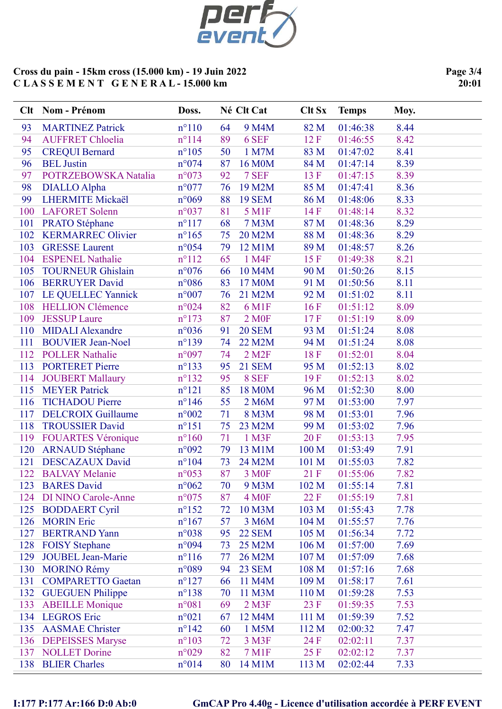

Page 3/4 20:01

|     | Clt Nom - Prénom           | Doss.           |    | Né Clt Cat             | <b>Clt Sx</b>    | <b>Temps</b> | Moy. |
|-----|----------------------------|-----------------|----|------------------------|------------------|--------------|------|
| 93  | <b>MARTINEZ Patrick</b>    | $n^{\circ}110$  | 64 | 9 M4M                  | 82 M             | 01:46:38     | 8.44 |
| 94  | <b>AUFFRET Chloelia</b>    | $n^{\circ}114$  | 89 | 6 SEF                  | 12 F             | 01:46:55     | 8.42 |
| 95  | <b>CREQUI Bernard</b>      | $n^{\circ}105$  | 50 | 1 M7M                  | 83 M             | 01:47:02     | 8.41 |
| 96  | <b>BEL</b> Justin          | n°074           | 87 | 16 M0M                 | 84 M             | 01:47:14     | 8.39 |
| 97  | POTRZEBOWSKA Natalia       | $n^{\circ}073$  | 92 | 7 SEF                  | 13 F             | 01:47:15     | 8.39 |
| 98  | <b>DIALLO Alpha</b>        | $n^{\circ}077$  | 76 | 19 M2M                 | 85 M             | 01:47:41     | 8.36 |
| 99  | <b>LHERMITE Mickaël</b>    | $n^{\circ}069$  | 88 | <b>19 SEM</b>          | 86 M             | 01:48:06     | 8.33 |
| 100 | <b>LAFORET Solenn</b>      | n°037           | 81 | 5 M1F                  | 14F              | 01:48:14     | 8.32 |
| 101 | <b>PRATO Stéphane</b>      | $n^{\circ}117$  | 68 | 7 M3M                  | 87 M             | 01:48:36     | 8.29 |
| 102 | <b>KERMARREC Olivier</b>   | $n^{\circ}165$  | 75 | 20 M2M                 | 88 M             | 01:48:36     | 8.29 |
| 103 | <b>GRESSE Laurent</b>      | $n^{\circ}054$  | 79 | 12 M1M                 | 89 M             | 01:48:57     | 8.26 |
| 104 | <b>ESPENEL Nathalie</b>    | $n^{\circ}112$  | 65 | 1 M4F                  | 15F              | 01:49:38     | 8.21 |
| 105 | <b>TOURNEUR Ghislain</b>   | $n^{\circ}076$  | 66 | 10 M4M                 | 90 M             | 01:50:26     | 8.15 |
| 106 | <b>BERRUYER David</b>      | $n^{\circ}086$  | 83 | 17 M0M                 | 91 M             | 01:50:56     | 8.11 |
| 107 | LE QUELLEC Yannick         | $n^{\circ}007$  | 76 | 21 M2M                 | 92 M             | 01:51:02     | 8.11 |
| 108 | <b>HELLION Clémence</b>    | $n^{\circ}024$  | 82 | 6 M1F                  | 16F              | 01:51:12     | 8.09 |
| 109 | <b>JESSUP Laure</b>        | $n^{\circ}173$  | 87 | 2 M <sub>OF</sub>      | 17F              | 01:51:19     | 8.09 |
| 110 | <b>MIDALI</b> Alexandre    | n°036           | 91 | <b>20 SEM</b>          | 93 M             | 01:51:24     | 8.08 |
| 111 | <b>BOUVIER Jean-Noel</b>   | $n^{\circ}139$  | 74 | 22 M2M                 | 94 M             | 01:51:24     | 8.08 |
| 112 | <b>POLLER Nathalie</b>     | n°097           | 74 | $2$ M <sub>2</sub> $F$ | 18F              | 01:52:01     | 8.04 |
| 113 | <b>PORTERET Pierre</b>     | $n^{\circ}$ 133 | 95 | <b>21 SEM</b>          | 95 M             | 01:52:13     | 8.02 |
| 114 | <b>JOUBERT Mallaury</b>    | $n^{\circ}132$  | 95 | 8 SEF                  | 19F              | 01:52:13     | 8.02 |
| 115 | <b>MEYER Patrick</b>       | $n^{\circ}121$  | 85 | 18 M0M                 | 96 M             | 01:52:30     | 8.00 |
| 116 | <b>TICHADOU Pierre</b>     | $n^{\circ}$ 146 | 55 | 2 M6M                  | 97 M             | 01:53:00     | 7.97 |
| 117 | <b>DELCROIX Guillaume</b>  | $n^{\circ}002$  | 71 | 8 M3M                  | 98 M             | 01:53:01     | 7.96 |
| 118 | <b>TROUSSIER David</b>     | $n^{\circ}151$  | 75 | 23 M2M                 | 99 M             | 01:53:02     | 7.96 |
| 119 | <b>FOUARTES Véronique</b>  | $n^{\circ}160$  | 71 | 1 M3F                  | 20F              | 01:53:13     | 7.95 |
| 120 | <b>ARNAUD Stéphane</b>     | n°092           | 79 | 13 M1M                 | 100 M            | 01:53:49     | 7.91 |
| 121 | <b>DESCAZAUX David</b>     | $n^{\circ}104$  | 73 | 24 M2M                 | 101 M            | 01:55:03     | 7.82 |
| 122 | <b>BALVAY</b> Melanie      | $n^{\circ}053$  | 87 | 3 M <sub>OF</sub>      | 21 F             | 01:55:06     | 7.82 |
| 123 | <b>BARES</b> David         | $n^{\circ}062$  | 70 | 9 M3M                  | 102 M            | 01:55:14     | 7.81 |
| 124 | <b>DI NINO Carole-Anne</b> | $n^{\circ}075$  | 87 | 4 M <sub>OF</sub>      | 22 F             | 01:55:19     | 7.81 |
| 125 | <b>BODDAERT Cyril</b>      | $n^{\circ}152$  | 72 | 10 M3M                 | 103 M            | 01:55:43     | 7.78 |
| 126 | <b>MORIN</b> Eric          | $n^{\circ}167$  | 57 | 3 M6M                  | 104 M            | 01:55:57     | 7.76 |
| 127 | <b>BERTRAND Yann</b>       | n°038           | 95 | <b>22 SEM</b>          | 105 M            | 01:56:34     | 7.72 |
| 128 | <b>FOISY Stephane</b>      | n°094           | 73 | 25 M2M                 | 106 M            | 01:57:00     | 7.69 |
| 129 | <b>JOUBEL Jean-Marie</b>   | $n^{\circ}116$  | 77 | 26 M2M                 | 107 M            | 01:57:09     | 7.68 |
| 130 | <b>MORINO Rémy</b>         | n°089           | 94 | <b>23 SEM</b>          | 108 M            | 01:57:16     | 7.68 |
| 131 | <b>COMPARETTO Gaetan</b>   | $n^{\circ}127$  | 66 | 11 M4M                 | 109 M            | 01:58:17     | 7.61 |
| 132 | <b>GUEGUEN Philippe</b>    | $n^{\circ}$ 138 | 70 | 11 M3M                 | 110 <sub>M</sub> | 01:59:28     | 7.53 |
| 133 | <b>ABEILLE</b> Monique     | n°081           | 69 | $2$ M3F                | 23 F             | 01:59:35     | 7.53 |
| 134 | <b>LEGROS</b> Eric         | $n^{\circ}021$  | 67 | 12 M4M                 | 111 M            | 01:59:39     | 7.52 |
| 135 | <b>AASMAE</b> Christer     | $n^{\circ}142$  | 60 | 1 M5M                  | 112 M            | 02:00:32     | 7.47 |
| 136 | <b>DEPEISSES Maryse</b>    | $n^{\circ}103$  | 72 | 3 M3F                  | 24 F             | 02:02:11     | 7.37 |
| 137 | <b>NOLLET Dorine</b>       | n°029           | 82 | <b>7 M1F</b>           | 25 F             | 02:02:12     | 7.37 |
| 138 | <b>BLIER Charles</b>       | $n^{\circ}014$  | 80 | 14 M1M                 | 113 M            | 02:02:44     | 7.33 |

# I:177 P:177 Ar:166 D:0 Ab:0 GmCAP Pro 4.40g - Licence d'utilisation accordée à PERF EVENT